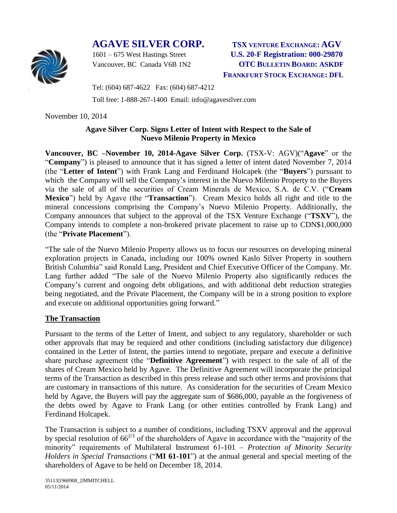# **AGAVE SILVER CORP. TSX VENTURE EXCHANGE: AGV**



1601 – 675 West Hastings Street **U.S. 20-F Registration: 000-29870** Vancouver, BC Canada V6B 1N2 **OTC BULLETIN BOARD: ASKDF FRANKFURT STOCK EXCHANGE: DFL**

Tel: (604) 687-4622 Fax: (604) 687-4212

Toll free: 1-888-267-1400 Email: info@agavesilver.com

November 10, 2014

## **Agave Silver Corp. Signs Letter of Intent with Respect to the Sale of Nuevo Milenio Property in Mexico**

**Vancouver, BC –November 10, 2014-Agave Silver Corp.** (TSX-V: AGV)("**Agave**" or the "**Company**") is pleased to announce that it has signed a letter of intent dated November 7, 2014 (the "**Letter of Intent**") with Frank Lang and Ferdinand Holcapek (the "**Buyers**") pursuant to which the Company will sell the Company's interest in the Nuevo Milenio Property to the Buyers via the sale of all of the securities of Cream Minerals de Mexico, S.A. de C.V. ("**Cream Mexico**") held by Agave (the "**Transaction**"). Cream Mexico holds all right and title to the mineral concessions comprising the Company's Nuevo Milenio Property. Additionally, the Company announces that subject to the approval of the TSX Venture Exchange ("**TSXV**"), the Company intends to complete a non-brokered private placement to raise up to CDN\$1,000,000 (the "**Private Placement**").

"The sale of the Nuevo Milenio Property allows us to focus our resources on developing mineral exploration projects in Canada, including our 100% owned Kaslo Silver Property in southern British Columbia" said Ronald Lang, President and Chief Executive Officer of the Company. Mr. Lang further added "The sale of the Nuevo Milenio Property also significantly reduces the Company's current and ongoing debt obligations, and with additional debt reduction strategies being negotiated, and the Private Placement, the Company will be in a strong position to explore and execute on additional opportunities going forward."

#### **The Transaction**

Pursuant to the terms of the Letter of Intent, and subject to any regulatory, shareholder or such other approvals that may be required and other conditions (including satisfactory due diligence) contained in the Letter of Intent, the parties intend to negotiate, prepare and execute a definitive share purchase agreement (the "**Definitive Agreement**") with respect to the sale of all of the shares of Cream Mexico held by Agave. The Definitive Agreement will incorporate the principal terms of the Transaction as described in this press release and such other terms and provisions that are customary in transactions of this nature. As consideration for the securities of Cream Mexico held by Agave, the Buyers will pay the aggregate sum of \$686,000, payable as the forgiveness of the debts owed by Agave to Frank Lang (or other entities controlled by Frank Lang) and Ferdinand Holcapek.

The Transaction is subject to a number of conditions, including TSXV approval and the approval by special resolution of  $66^{2/3}$  of the shareholders of Agave in accordance with the "majority of the minority" requirements of Multilateral Instrument 61-101 – *Protection of Minority Security Holders in Special Transactions* ("**MI 61-101**") at the annual general and special meeting of the shareholders of Agave to be held on December 18, 2014.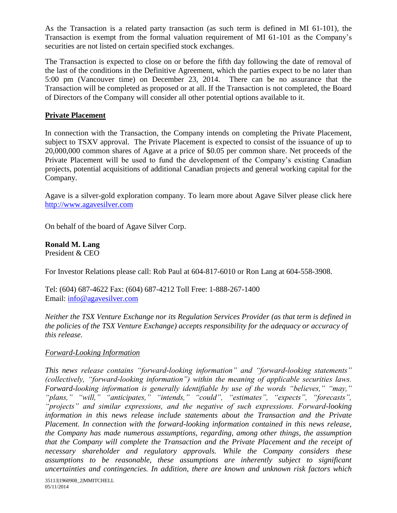As the Transaction is a related party transaction (as such term is defined in MI 61-101), the Transaction is exempt from the formal valuation requirement of MI 61-101 as the Company's securities are not listed on certain specified stock exchanges.

The Transaction is expected to close on or before the fifth day following the date of removal of the last of the conditions in the Definitive Agreement, which the parties expect to be no later than 5:00 pm (Vancouver time) on December 23, 2014. There can be no assurance that the Transaction will be completed as proposed or at all. If the Transaction is not completed, the Board of Directors of the Company will consider all other potential options available to it.

## **Private Placement**

In connection with the Transaction, the Company intends on completing the Private Placement, subject to TSXV approval. The Private Placement is expected to consist of the issuance of up to 20,000,000 common shares of Agave at a price of \$0.05 per common share. Net proceeds of the Private Placement will be used to fund the development of the Company's existing Canadian projects, potential acquisitions of additional Canadian projects and general working capital for the Company.

Agave is a silver-gold exploration company. To learn more about Agave Silver please click here [http://www.agavesilver.com](http://www.agavesilver.com/)

On behalf of the board of Agave Silver Corp.

**Ronald M. Lang** President & CEO

For Investor Relations please call: Rob Paul at 604-817-6010 or Ron Lang at 604-558-3908.

Tel: (604) 687-4622 Fax: (604) 687-4212 Toll Free: 1-888-267-1400 Email: [info@agavesilver.com](mailto:info@agavesilver.com)

*Neither the TSX Venture Exchange nor its Regulation Services Provider (as that term is defined in the policies of the TSX Venture Exchange) accepts responsibility for the adequacy or accuracy of this release.*

## *Forward-Looking Information*

*This news release contains "forward-looking information" and "forward-looking statements" (collectively, "forward-looking information") within the meaning of applicable securities laws. Forward-looking information is generally identifiable by use of the words "believes," "may," "plans," "will," "anticipates," "intends," "could", "estimates", "expects", "forecasts", "projects" and similar expressions, and the negative of such expressions. Forward-looking information in this news release include statements about the Transaction and the Private Placement. In connection with the forward-looking information contained in this news release, the Company has made numerous assumptions, regarding, among other things, the assumption that the Company will complete the Transaction and the Private Placement and the receipt of necessary shareholder and regulatory approvals. While the Company considers these assumptions to be reasonable, these assumptions are inherently subject to significant uncertainties and contingencies. In addition, there are known and unknown risk factors which*